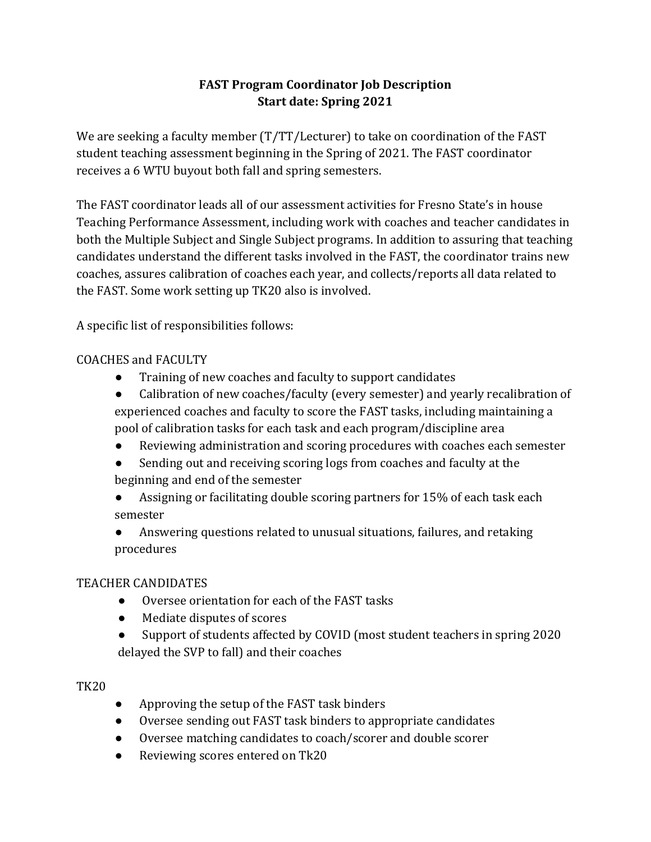# **FAST Program Coordinator Job Description Start date: Spring 2021**

We are seeking a faculty member  $(T/T)$ Lecturer) to take on coordination of the FAST student teaching assessment beginning in the Spring of 2021. The FAST coordinator receives a 6 WTU buyout both fall and spring semesters.

The FAST coordinator leads all of our assessment activities for Fresno State's in house Teaching Performance Assessment, including work with coaches and teacher candidates in both the Multiple Subject and Single Subject programs. In addition to assuring that teaching candidates understand the different tasks involved in the FAST, the coordinator trains new coaches, assures calibration of coaches each year, and collects/reports all data related to the FAST. Some work setting up TK20 also is involved.

A specific list of responsibilities follows:

#### COACHES and FACULTY

- Training of new coaches and faculty to support candidates
- Calibration of new coaches/faculty (every semester) and yearly recalibration of experienced coaches and faculty to score the FAST tasks, including maintaining a pool of calibration tasks for each task and each program/discipline area
- Reviewing administration and scoring procedures with coaches each semester
- Sending out and receiving scoring logs from coaches and faculty at the beginning and end of the semester
- Assigning or facilitating double scoring partners for 15% of each task each semester
- Answering questions related to unusual situations, failures, and retaking procedures

#### TEACHER CANDIDATES

- Oversee orientation for each of the FAST tasks
- Mediate disputes of scores
- Support of students affected by COVID (most student teachers in spring 2020) delayed the SVP to fall) and their coaches

#### TK20

- Approving the setup of the FAST task binders
- Oversee sending out FAST task binders to appropriate candidates
- Oversee matching candidates to coach/scorer and double scorer
- Reviewing scores entered on Tk20